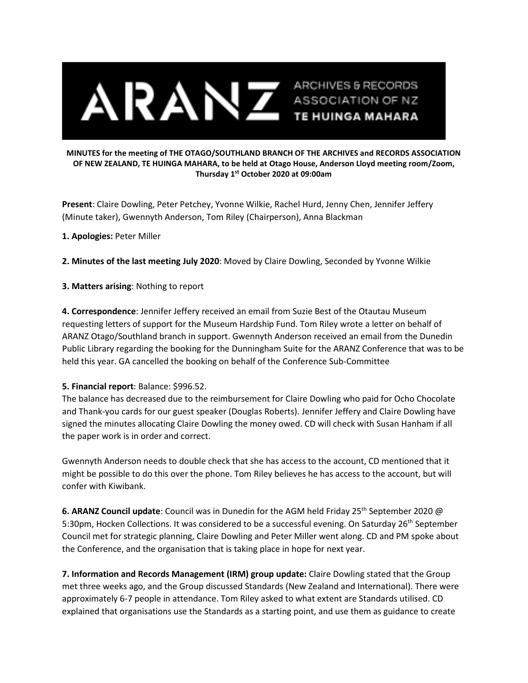

## **MINUTES for the meeting of THE OTAGO/SOUTHLAND BRANCH OF THE ARCHIVES and RECORDS ASSOCIATION OF NEW ZEALAND, TE HUINGA MAHARA, to be held at Otago House, Anderson Lloyd meeting room/Zoom, Thursday 1st October 2020 at 09:00am**

**Present**: Claire Dowling, Peter Petchey, Yvonne Wilkie, Rachel Hurd, Jenny Chen, Jennifer Jeffery (Minute taker), Gwennyth Anderson, Tom Riley (Chairperson), Anna Blackman

## **1. Apologies:** Peter Miller

**2. Minutes of the last meeting July 2020**: Moved by Claire Dowling, Seconded by Yvonne Wilkie

**3. Matters arising**: Nothing to report

**4. Correspondence**: Jennifer Jeffery received an email from Suzie Best of the Otautau Museum requesting letters of support for the Museum Hardship Fund. Tom Riley wrote a letter on behalf of ARANZ Otago/Southland branch in support. Gwennyth Anderson received an email from the Dunedin Public Library regarding the booking for the Dunningham Suite for the ARANZ Conference that was to be held this year. GA cancelled the booking on behalf of the Conference Sub-Committee

## **5. Financial report**: Balance: \$996.52.

The balance has decreased due to the reimbursement for Claire Dowling who paid for Ocho Chocolate and Thank-you cards for our guest speaker (Douglas Roberts). Jennifer Jeffery and Claire Dowling have signed the minutes allocating Claire Dowling the money owed. CD will check with Susan Hanham if all the paper work is in order and correct.

Gwennyth Anderson needs to double check that she has access to the account, CD mentioned that it might be possible to do this over the phone. Tom Riley believes he has access to the account, but will confer with Kiwibank.

**6. ARANZ Council update**: Council was in Dunedin for the AGM held Friday 25th September 2020 @ 5:30pm, Hocken Collections. It was considered to be a successful evening. On Saturday 26<sup>th</sup> September Council met for strategic planning, Claire Dowling and Peter Miller went along. CD and PM spoke about the Conference, and the organisation that is taking place in hope for next year.

**7. Information and Records Management (IRM) group update:** Claire Dowling stated that the Group met three weeks ago, and the Group discussed Standards (New Zealand and International). There were approximately 6-7 people in attendance. Tom Riley asked to what extent are Standards utilised. CD explained that organisations use the Standards as a starting point, and use them as guidance to create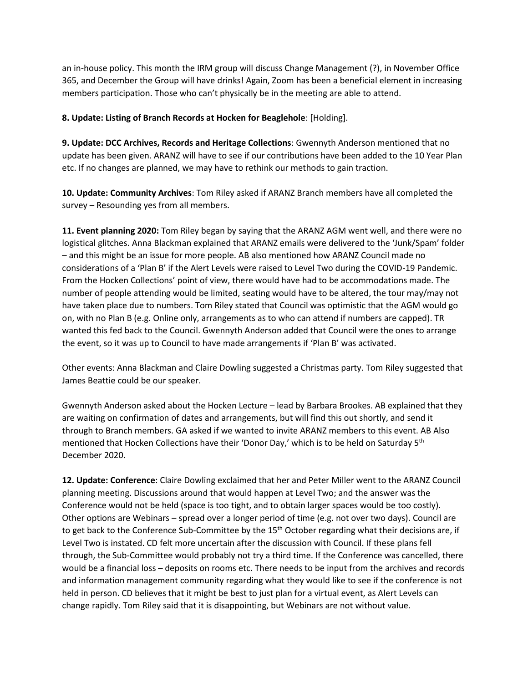an in-house policy. This month the IRM group will discuss Change Management (?), in November Office 365, and December the Group will have drinks! Again, Zoom has been a beneficial element in increasing members participation. Those who can't physically be in the meeting are able to attend.

**8. Update: Listing of Branch Records at Hocken for Beaglehole**: [Holding].

**9. Update: DCC Archives, Records and Heritage Collections**: Gwennyth Anderson mentioned that no update has been given. ARANZ will have to see if our contributions have been added to the 10 Year Plan etc. If no changes are planned, we may have to rethink our methods to gain traction.

**10. Update: Community Archives**: Tom Riley asked if ARANZ Branch members have all completed the survey – Resounding yes from all members.

**11. Event planning 2020:** Tom Riley began by saying that the ARANZ AGM went well, and there were no logistical glitches. Anna Blackman explained that ARANZ emails were delivered to the 'Junk/Spam' folder – and this might be an issue for more people. AB also mentioned how ARANZ Council made no considerations of a 'Plan B' if the Alert Levels were raised to Level Two during the COVID-19 Pandemic. From the Hocken Collections' point of view, there would have had to be accommodations made. The number of people attending would be limited, seating would have to be altered, the tour may/may not have taken place due to numbers. Tom Riley stated that Council was optimistic that the AGM would go on, with no Plan B (e.g. Online only, arrangements as to who can attend if numbers are capped). TR wanted this fed back to the Council. Gwennyth Anderson added that Council were the ones to arrange the event, so it was up to Council to have made arrangements if 'Plan B' was activated.

Other events: Anna Blackman and Claire Dowling suggested a Christmas party. Tom Riley suggested that James Beattie could be our speaker.

Gwennyth Anderson asked about the Hocken Lecture – lead by Barbara Brookes. AB explained that they are waiting on confirmation of dates and arrangements, but will find this out shortly, and send it through to Branch members. GA asked if we wanted to invite ARANZ members to this event. AB Also mentioned that Hocken Collections have their 'Donor Day,' which is to be held on Saturday 5<sup>th</sup> December 2020.

**12. Update: Conference**: Claire Dowling exclaimed that her and Peter Miller went to the ARANZ Council planning meeting. Discussions around that would happen at Level Two; and the answer was the Conference would not be held (space is too tight, and to obtain larger spaces would be too costly). Other options are Webinars – spread over a longer period of time (e.g. not over two days). Council are to get back to the Conference Sub-Committee by the 15<sup>th</sup> October regarding what their decisions are, if Level Two is instated. CD felt more uncertain after the discussion with Council. If these plans fell through, the Sub-Committee would probably not try a third time. If the Conference was cancelled, there would be a financial loss – deposits on rooms etc. There needs to be input from the archives and records and information management community regarding what they would like to see if the conference is not held in person. CD believes that it might be best to just plan for a virtual event, as Alert Levels can change rapidly. Tom Riley said that it is disappointing, but Webinars are not without value.